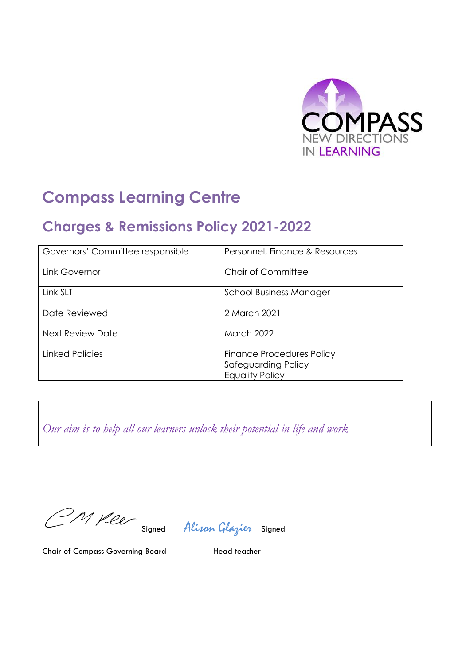

# **Compass Learning Centre**

## **Charges & Remissions Policy 2021-2022**

| Governors' Committee responsible | Personnel, Finance & Resources                                                    |
|----------------------------------|-----------------------------------------------------------------------------------|
| Link Governor                    | Chair of Committee                                                                |
| Link SLT                         | School Business Manager                                                           |
| Date Reviewed                    | 2 March 2021                                                                      |
| <b>Next Review Date</b>          | <b>March 2022</b>                                                                 |
| <b>Linked Policies</b>           | <b>Finance Procedures Policy</b><br>Safeguarding Policy<br><b>Equality Policy</b> |

*Our aim is to help all our learners unlock their potential in life and work*

M yeer

Signed Alison Glazier Signed

Chair of Compass Governing Board Head teacher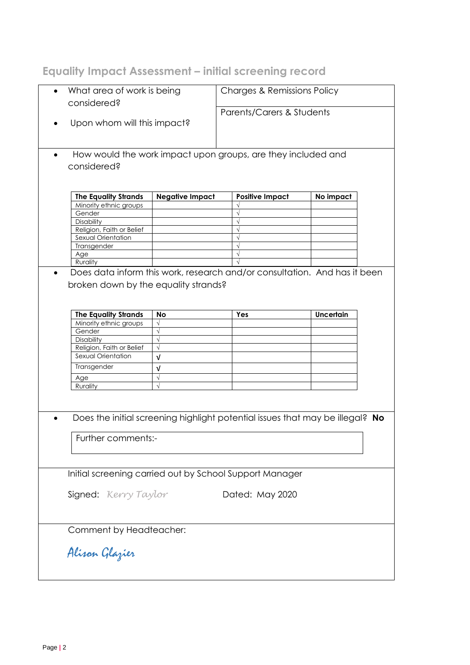## **Equality Impact Assessment – initial screening record**

| considered?                 | What area of work is being |                                                                               | <b>Charges &amp; Remissions Policy</b> |  |  |
|-----------------------------|----------------------------|-------------------------------------------------------------------------------|----------------------------------------|--|--|
| Upon whom will this impact? |                            | Parents/Carers & Students                                                     |                                        |  |  |
| $\bullet$<br>considered?    |                            | How would the work impact upon groups, are they included and                  |                                        |  |  |
| <b>The Equality Strands</b> | <b>Negative Impact</b>     | <b>Positive Impact</b>                                                        | No impact                              |  |  |
| Minority ethnic groups      |                            |                                                                               |                                        |  |  |
| Gender                      |                            |                                                                               |                                        |  |  |
| Disability                  |                            |                                                                               |                                        |  |  |
| Religion, Faith or Belief   |                            |                                                                               |                                        |  |  |
| Sexual Orientation          |                            | $\sqrt{ }$                                                                    |                                        |  |  |
| Transgender                 |                            |                                                                               |                                        |  |  |
|                             |                            |                                                                               |                                        |  |  |
| Age                         |                            |                                                                               |                                        |  |  |
| Rurality                    |                            | Does data inform this work, research and/or consultation. And has it been     |                                        |  |  |
| <b>The Equality Strands</b> | <b>No</b>                  | Yes                                                                           | <b>Uncertain</b>                       |  |  |
|                             | $\sqrt{}$                  |                                                                               |                                        |  |  |
| Minority ethnic groups      | $\sqrt{}$                  |                                                                               |                                        |  |  |
| Gender                      | $\sqrt{ }$                 |                                                                               |                                        |  |  |
| Disability                  |                            |                                                                               |                                        |  |  |
| Religion, Faith or Belief   | $\sqrt{}$                  |                                                                               |                                        |  |  |
| Sexual Orientation          | $\sqrt{ }$                 |                                                                               |                                        |  |  |
| Transgender                 | $\sqrt{ }$                 |                                                                               |                                        |  |  |
| Age                         | $\sqrt{}$                  |                                                                               |                                        |  |  |
| Rurality                    | $\sqrt{ }$                 |                                                                               |                                        |  |  |
|                             |                            | Does the initial screening highlight potential issues that may be illegal? No |                                        |  |  |
| Further comments:-          |                            |                                                                               |                                        |  |  |
|                             |                            | Initial screening carried out by School Support Manager                       |                                        |  |  |
| Signed: Kerry Taylor        |                            | Dated: May 2020                                                               |                                        |  |  |
| Comment by Headteacher:     |                            |                                                                               |                                        |  |  |
| Alisan Glazier              |                            |                                                                               |                                        |  |  |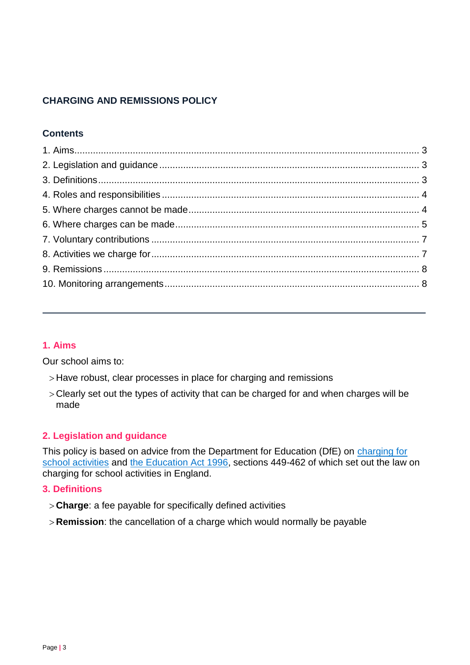## **CHARGING AND REMISSIONS POLICY**

## **Contents**

## <span id="page-2-0"></span>**1. Aims**

Our school aims to:

- > Have robust, clear processes in place for charging and remissions
- Clearly set out the types of activity that can be charged for and when charges will be made

## <span id="page-2-1"></span>**2. Legislation and guidance**

This policy is based on advice from the Department for Education (DfE) on [charging for](https://www.gov.uk/government/publications/charging-for-school-activities) [school activities](https://www.gov.uk/government/publications/charging-for-school-activities) and [the Education Act 1996,](http://www.legislation.gov.uk/ukpga/1996/56/part/VI/chapter/III) sections 449-462 of which set out the law on charging for school activities in England.

### <span id="page-2-2"></span>**3. Definitions**

- **Charge**: a fee payable for specifically defined activities
- <span id="page-2-3"></span>**Remission**: the cancellation of a charge which would normally be payable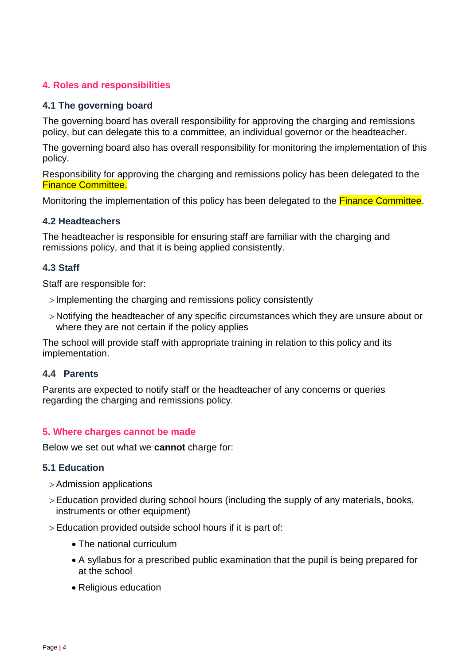## **4. Roles and responsibilities**

## **4.1 The governing board**

The governing board has overall responsibility for approving the charging and remissions policy, but can delegate this to a committee, an individual governor or the headteacher.

The governing board also has overall responsibility for monitoring the implementation of this policy.

Responsibility for approving the charging and remissions policy has been delegated to the Finance Committee.

Monitoring the implementation of this policy has been delegated to the **Finance Committee**.

## **4.2 Headteachers**

The headteacher is responsible for ensuring staff are familiar with the charging and remissions policy, and that it is being applied consistently.

## **4.3 Staff**

Staff are responsible for:

- > Implementing the charging and remissions policy consistently
- Notifying the headteacher of any specific circumstances which they are unsure about or where they are not certain if the policy applies

The school will provide staff with appropriate training in relation to this policy and its implementation.

### **4.4 Parents**

Parents are expected to notify staff or the headteacher of any concerns or queries regarding the charging and remissions policy.

### <span id="page-3-0"></span>**5. Where charges cannot be made**

Below we set out what we **cannot** charge for:

### **5.1 Education**

- Admission applications
- Education provided during school hours (including the supply of any materials, books, instruments or other equipment)
- Education provided outside school hours if it is part of:
	- The national curriculum
	- A syllabus for a prescribed public examination that the pupil is being prepared for at the school
	- Religious education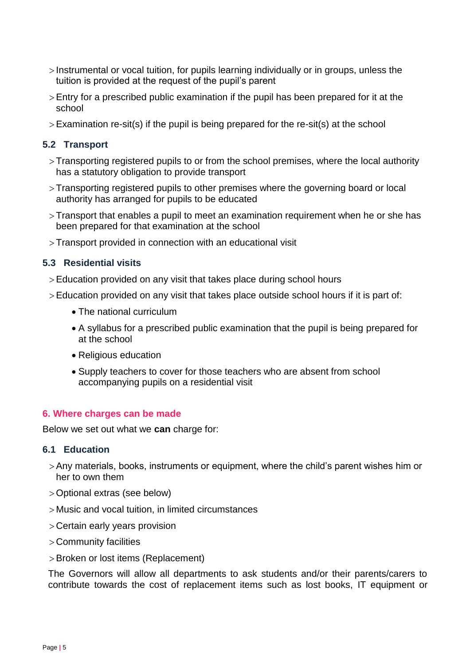- $>$  Instrumental or vocal tuition, for pupils learning individually or in groups, unless the tuition is provided at the request of the pupil's parent
- Entry for a prescribed public examination if the pupil has been prepared for it at the school
- Examination re-sit(s) if the pupil is being prepared for the re-sit(s) at the school

## **5.2 Transport**

- Transporting registered pupils to or from the school premises, where the local authority has a statutory obligation to provide transport
- Transporting registered pupils to other premises where the governing board or local authority has arranged for pupils to be educated
- Transport that enables a pupil to meet an examination requirement when he or she has been prepared for that examination at the school
- Transport provided in connection with an educational visit

## **5.3 Residential visits**

- Education provided on any visit that takes place during school hours
- Education provided on any visit that takes place outside school hours if it is part of:
	- The national curriculum
	- A syllabus for a prescribed public examination that the pupil is being prepared for at the school
	- Religious education
	- Supply teachers to cover for those teachers who are absent from school accompanying pupils on a residential visit

### <span id="page-4-0"></span>**6. Where charges can be made**

Below we set out what we **can** charge for:

### **6.1 Education**

- Any materials, books, instruments or equipment, where the child's parent wishes him or her to own them
- Optional extras (see below)
- Music and vocal tuition, in limited circumstances
- Certain early years provision
- Community facilities
- > Broken or lost items (Replacement)

The Governors will allow all departments to ask students and/or their parents/carers to contribute towards the cost of replacement items such as lost books, IT equipment or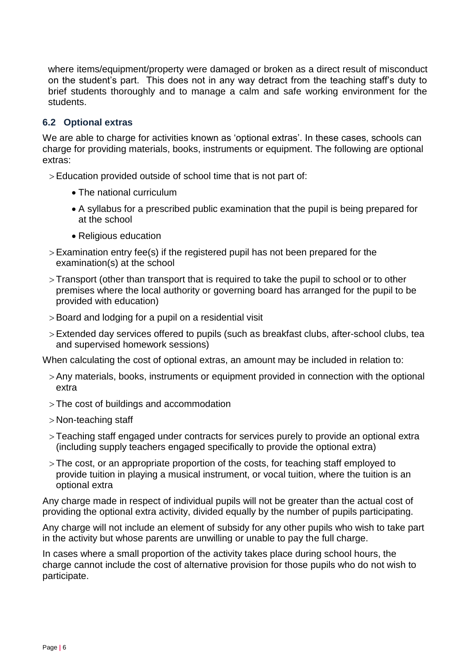where items/equipment/property were damaged or broken as a direct result of misconduct on the student's part. This does not in any way detract from the teaching staff's duty to brief students thoroughly and to manage a calm and safe working environment for the students.

## **6.2 Optional extras**

We are able to charge for activities known as 'optional extras'. In these cases, schools can charge for providing materials, books, instruments or equipment. The following are optional extras:

> Education provided outside of school time that is not part of:

- The national curriculum
- A syllabus for a prescribed public examination that the pupil is being prepared for at the school
- Religious education
- $>$  Examination entry fee(s) if the registered pupil has not been prepared for the examination(s) at the school
- Transport (other than transport that is required to take the pupil to school or to other premises where the local authority or governing board has arranged for the pupil to be provided with education)
- Board and lodging for a pupil on a residential visit
- Extended day services offered to pupils (such as breakfast clubs, after-school clubs, tea and supervised homework sessions)

When calculating the cost of optional extras, an amount may be included in relation to:

- Any materials, books, instruments or equipment provided in connection with the optional extra
- The cost of buildings and accommodation
- Non-teaching staff
- Teaching staff engaged under contracts for services purely to provide an optional extra (including supply teachers engaged specifically to provide the optional extra)
- The cost, or an appropriate proportion of the costs, for teaching staff employed to provide tuition in playing a musical instrument, or vocal tuition, where the tuition is an optional extra

Any charge made in respect of individual pupils will not be greater than the actual cost of providing the optional extra activity, divided equally by the number of pupils participating.

Any charge will not include an element of subsidy for any other pupils who wish to take part in the activity but whose parents are unwilling or unable to pay the full charge.

In cases where a small proportion of the activity takes place during school hours, the charge cannot include the cost of alternative provision for those pupils who do not wish to participate.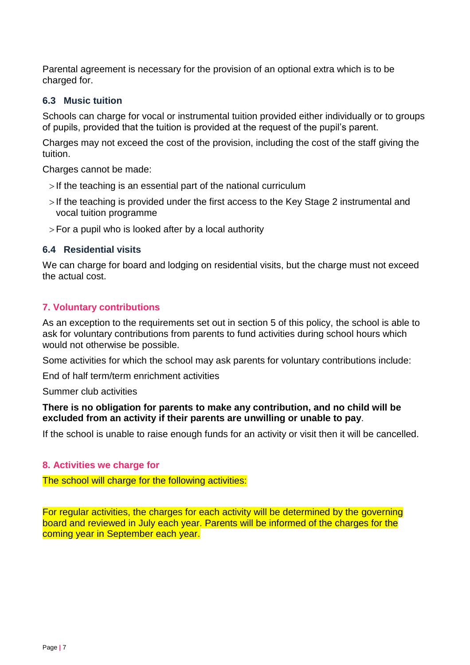Parental agreement is necessary for the provision of an optional extra which is to be charged for.

## **6.3 Music tuition**

Schools can charge for vocal or instrumental tuition provided either individually or to groups of pupils, provided that the tuition is provided at the request of the pupil's parent.

Charges may not exceed the cost of the provision, including the cost of the staff giving the tuition.

Charges cannot be made:

- $>$  If the teaching is an essential part of the national curriculum
- >If the teaching is provided under the first access to the Key Stage 2 instrumental and vocal tuition programme
- $>$  For a pupil who is looked after by a local authority

### **6.4 Residential visits**

We can charge for board and lodging on residential visits, but the charge must not exceed the actual cost.

## <span id="page-6-0"></span>**7. Voluntary contributions**

As an exception to the requirements set out in section 5 of this policy, the school is able to ask for voluntary contributions from parents to fund activities during school hours which would not otherwise be possible.

Some activities for which the school may ask parents for voluntary contributions include:

End of half term/term enrichment activities

Summer club activities

## **There is no obligation for parents to make any contribution, and no child will be excluded from an activity if their parents are unwilling or unable to pay**.

If the school is unable to raise enough funds for an activity or visit then it will be cancelled.

### <span id="page-6-1"></span>**8. Activities we charge for**

The school will charge for the following activities:

<span id="page-6-2"></span>For regular activities, the charges for each activity will be determined by the governing board and reviewed in July each year. Parents will be informed of the charges for the coming year in September each year.